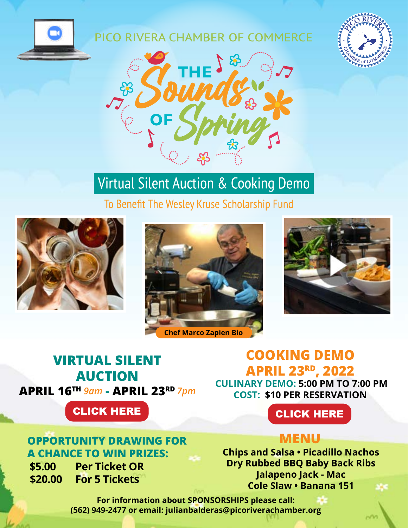

### PICO RIVERA CHAMBER OF COMMERCE





# **Virtual Silent Auction & Cooking Demo**

To Benefit The Wesley Kruse Scholarship Fund









# **VIRTUAL SILENT AUCTION APRIL 16TH** *9am* **- APRIL 23RD** *7pm*

CLICK HERE **CLICK HERE** 

## **OPPORTUNITY DRAWING FOR A CHANCE TO WIN PRIZES:**

**\$5.00 Per Ticket OR \$20.00 For 5 Tickets**

# **COOKING DEMO APRIL 23RD, 2022**

**CULINARY DEMO: 5:00 PM TO 7:00 PM COST: \$10 PER RESERVATION**

# **MENU**

**Chips and Salsa • Picadillo Nachos Dry Rubbed BBQ Baby Back Ribs Jalapeno Jack - Mac Cole Slaw • Banana 151**

**For information about SPONSORSHIPS please call: (562) 949-2477 or email: julianbalderas@picoriverachamber.org**